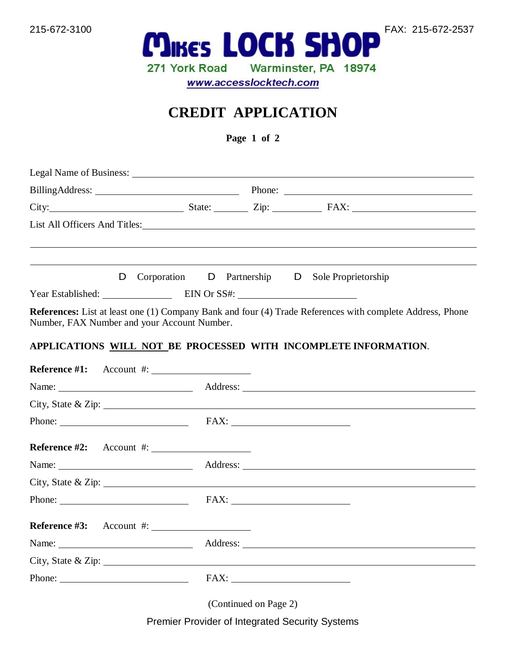

215-672-3100 **MIKE'S LOCK SHOP** FAX: 215-672-2537 Warminster, PA 18974 271 York Road www.accesslocktech.com

## **CREDIT APPLICATION**

**Page 1 of 2**

|                                                                 |  | BillingAddress: Phone: Phone: Phone: Phone: Phone: Phone: Phone: Phone: Phone: Phone: Phone: Phone: Phone: Phone: Phone: Phone: Phone: Phone: Phone: Phone: Phone: Phone: Phone: Phone: Phone: Phone: Phone: Phone: Phone: Pho |  |                                                                                                                                                                                                                                               |  |
|-----------------------------------------------------------------|--|--------------------------------------------------------------------------------------------------------------------------------------------------------------------------------------------------------------------------------|--|-----------------------------------------------------------------------------------------------------------------------------------------------------------------------------------------------------------------------------------------------|--|
|                                                                 |  |                                                                                                                                                                                                                                |  |                                                                                                                                                                                                                                               |  |
|                                                                 |  |                                                                                                                                                                                                                                |  |                                                                                                                                                                                                                                               |  |
|                                                                 |  |                                                                                                                                                                                                                                |  | D Corporation D Partnership D Sole Proprietorship                                                                                                                                                                                             |  |
| Year Established: EIN Or SS#:                                   |  |                                                                                                                                                                                                                                |  |                                                                                                                                                                                                                                               |  |
| Number, FAX Number and your Account Number.                     |  |                                                                                                                                                                                                                                |  | <b>References:</b> List at least one (1) Company Bank and four (4) Trade References with complete Address, Phone                                                                                                                              |  |
| APPLICATIONS WILL NOT BE PROCESSED WITH INCOMPLETE INFORMATION. |  |                                                                                                                                                                                                                                |  |                                                                                                                                                                                                                                               |  |
| Reference $#1$ : Account $#$ :                                  |  |                                                                                                                                                                                                                                |  |                                                                                                                                                                                                                                               |  |
|                                                                 |  |                                                                                                                                                                                                                                |  | Name: <u>Address:</u> Address:                                                                                                                                                                                                                |  |
|                                                                 |  |                                                                                                                                                                                                                                |  | City, State & Zip: $\overline{\phantom{a}}$                                                                                                                                                                                                   |  |
| Phone: FAX: FAX:                                                |  |                                                                                                                                                                                                                                |  |                                                                                                                                                                                                                                               |  |
| Reference $\#2$ : Account $\#$ :                                |  |                                                                                                                                                                                                                                |  |                                                                                                                                                                                                                                               |  |
|                                                                 |  |                                                                                                                                                                                                                                |  |                                                                                                                                                                                                                                               |  |
|                                                                 |  |                                                                                                                                                                                                                                |  | City, State & Zip: $\overline{\phantom{a}}$                                                                                                                                                                                                   |  |
| Phone: FAX: FAX:                                                |  |                                                                                                                                                                                                                                |  |                                                                                                                                                                                                                                               |  |
| Reference $\#3$ : Account $\#$ :                                |  |                                                                                                                                                                                                                                |  |                                                                                                                                                                                                                                               |  |
|                                                                 |  |                                                                                                                                                                                                                                |  | Name: <u>Name:</u> Address: <u>Name:</u> Address: <u>Name:</u> Address: Name: Name: Name: Name: Name: Name: Name: Name: Name: Name: Name: Name: Name: Name: Name: Name: Name: Name: Name: Name: Name: Name: Name: Name: Name: Name: Name: Nam |  |
|                                                                 |  |                                                                                                                                                                                                                                |  | City, State & Zip: $\overline{\phantom{a}}$                                                                                                                                                                                                   |  |
| Phone: FAX: FAX:                                                |  |                                                                                                                                                                                                                                |  |                                                                                                                                                                                                                                               |  |
|                                                                 |  |                                                                                                                                                                                                                                |  |                                                                                                                                                                                                                                               |  |

(Continued on Page 2)

Premier Provider of Integrated Security Systems